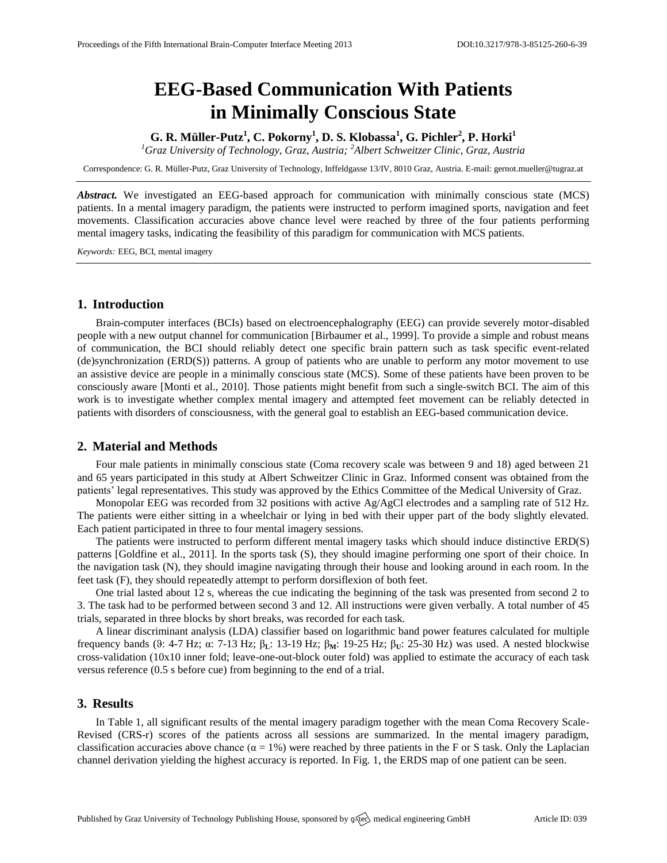# **EEG-Based Communication With Patients in Minimally Conscious State**

**G. R. Müller-Putz<sup>1</sup> , C. Pokorny<sup>1</sup> , D. S. Klobassa<sup>1</sup> , G. Pichler<sup>2</sup> , P. Horki<sup>1</sup>**

*<sup>1</sup>Graz University of Technology, Graz, Austria; <sup>2</sup>Albert Schweitzer Clinic, Graz, Austria*

Correspondence: G. R. Müller-Putz, Graz University of Technology, Inffeldgasse 13/IV, 8010 Graz, Austria. E-mail[: gernot.mueller@tugraz.at](mailto:gernot.mueller@tugraz.at)

*Abstract.* We investigated an EEG-based approach for communication with minimally conscious state (MCS) patients. In a mental imagery paradigm, the patients were instructed to perform imagined sports, navigation and feet movements. Classification accuracies above chance level were reached by three of the four patients performing mental imagery tasks, indicating the feasibility of this paradigm for communication with MCS patients.

*Keywords:* EEG, BCI, mental imagery

### **1. Introduction**

Brain-computer interfaces (BCIs) based on electroencephalography (EEG) can provide severely motor-disabled people with a new output channel for communication [Birbaumer et al., 1999]. To provide a simple and robust means of communication, the BCI should reliably detect one specific brain pattern such as task specific event-related (de)synchronization (ERD(S)) patterns. A group of patients who are unable to perform any motor movement to use an assistive device are people in a minimally conscious state (MCS). Some of these patients have been proven to be consciously aware [Monti et al., 2010]. Those patients might benefit from such a single-switch BCI. The aim of this work is to investigate whether complex mental imagery and attempted feet movement can be reliably detected in patients with disorders of consciousness, with the general goal to establish an EEG-based communication device.

#### **2. Material and Methods**

Four male patients in minimally conscious state (Coma recovery scale was between 9 and 18) aged between 21 and 65 years participated in this study at Albert Schweitzer Clinic in Graz. Informed consent was obtained from the patients' legal representatives. This study was approved by the Ethics Committee of the Medical University of Graz.

Monopolar EEG was recorded from 32 positions with active Ag/AgCl electrodes and a sampling rate of 512 Hz. The patients were either sitting in a wheelchair or lying in bed with their upper part of the body slightly elevated. Each patient participated in three to four mental imagery sessions.

The patients were instructed to perform different mental imagery tasks which should induce distinctive ERD(S) patterns [Goldfine et al., 2011]. In the sports task (S), they should imagine performing one sport of their choice. In the navigation task (N), they should imagine navigating through their house and looking around in each room. In the feet task (F), they should repeatedly attempt to perform dorsiflexion of both feet.

One trial lasted about 12 s, whereas the cue indicating the beginning of the task was presented from second 2 to 3. The task had to be performed between second 3 and 12. All instructions were given verbally. A total number of 45 trials, separated in three blocks by short breaks, was recorded for each task.

A linear discriminant analysis (LDA) classifier based on logarithmic band power features calculated for multiple frequency bands (ϑ: 4-7 Hz; α: 7-13 Hz; β**L**: 13-19 Hz; β**M**: 19-25 Hz; β**U**: 25-30 Hz) was used. A nested blockwise cross-validation (10x10 inner fold; leave-one-out-block outer fold) was applied to estimate the accuracy of each task versus reference (0.5 s before cue) from beginning to the end of a trial.

#### **3. Results**

In Table 1, all significant results of the mental imagery paradigm together with the mean Coma Recovery Scale-Revised (CRS-r) scores of the patients across all sessions are summarized. In the mental imagery paradigm, classification accuracies above chance ( $\alpha = 1\%$ ) were reached by three patients in the F or S task. Only the Laplacian channel derivation yielding the highest accuracy is reported. In Fig. 1, the ERDS map of one patient can be seen.